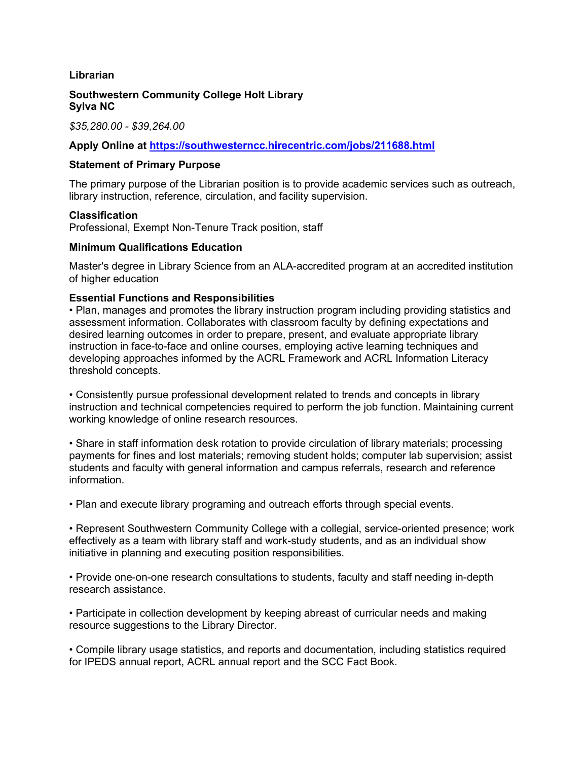## **Librarian**

#### **Southwestern Community College Holt Library Sylva NC**

*\$35,280.00 - \$39,264.00*

# **Apply Online at<https://southwesterncc.hirecentric.com/jobs/211688.html>**

#### **Statement of Primary Purpose**

The primary purpose of the Librarian position is to provide academic services such as outreach, library instruction, reference, circulation, and facility supervision.

#### **Classification**

Professional, Exempt Non-Tenure Track position, staff

## **Minimum Qualifications Education**

Master's degree in Library Science from an ALA-accredited program at an accredited institution of higher education

## **Essential Functions and Responsibilities**

• Plan, manages and promotes the library instruction program including providing statistics and assessment information. Collaborates with classroom faculty by defining expectations and desired learning outcomes in order to prepare, present, and evaluate appropriate library instruction in face-to-face and online courses, employing active learning techniques and developing approaches informed by the ACRL Framework and ACRL Information Literacy threshold concepts.

• Consistently pursue professional development related to trends and concepts in library instruction and technical competencies required to perform the job function. Maintaining current working knowledge of online research resources.

• Share in staff information desk rotation to provide circulation of library materials; processing payments for fines and lost materials; removing student holds; computer lab supervision; assist students and faculty with general information and campus referrals, research and reference information.

• Plan and execute library programing and outreach efforts through special events.

• Represent Southwestern Community College with a collegial, service-oriented presence; work effectively as a team with library staff and work-study students, and as an individual show initiative in planning and executing position responsibilities.

• Provide one-on-one research consultations to students, faculty and staff needing in-depth research assistance.

• Participate in collection development by keeping abreast of curricular needs and making resource suggestions to the Library Director.

• Compile library usage statistics, and reports and documentation, including statistics required for IPEDS annual report, ACRL annual report and the SCC Fact Book.